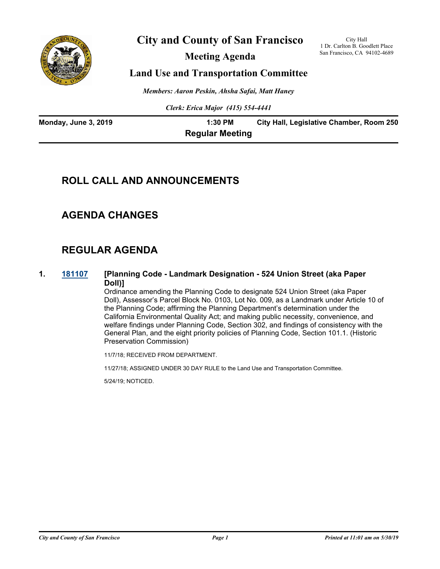

# **City and County of San Francisco**

**Meeting Agenda**

City Hall 1 Dr. Carlton B. Goodlett Place San Francisco, CA 94102-4689

# **Land Use and Transportation Committee**

*Members: Aaron Peskin, Ahsha Safai, Matt Haney*

*Clerk: Erica Major (415) 554-4441*

| Monday, June 3, 2019 | 1:30 PM                | City Hall, Legislative Chamber, Room 250 |
|----------------------|------------------------|------------------------------------------|
|                      | <b>Regular Meeting</b> |                                          |

# **ROLL CALL AND ANNOUNCEMENTS**

# **AGENDA CHANGES**

# **REGULAR AGENDA**

### **1. [181107](http://sfgov.legistar.com/gateway.aspx?m=l&id=33976) [Planning Code - Landmark Designation - 524 Union Street (aka Paper Doll)]**

Ordinance amending the Planning Code to designate 524 Union Street (aka Paper Doll), Assessor's Parcel Block No. 0103, Lot No. 009, as a Landmark under Article 10 of the Planning Code; affirming the Planning Department's determination under the California Environmental Quality Act; and making public necessity, convenience, and welfare findings under Planning Code, Section 302, and findings of consistency with the General Plan, and the eight priority policies of Planning Code, Section 101.1. (Historic Preservation Commission)

11/7/18; RECEIVED FROM DEPARTMENT.

11/27/18; ASSIGNED UNDER 30 DAY RULE to the Land Use and Transportation Committee.

5/24/19; NOTICED.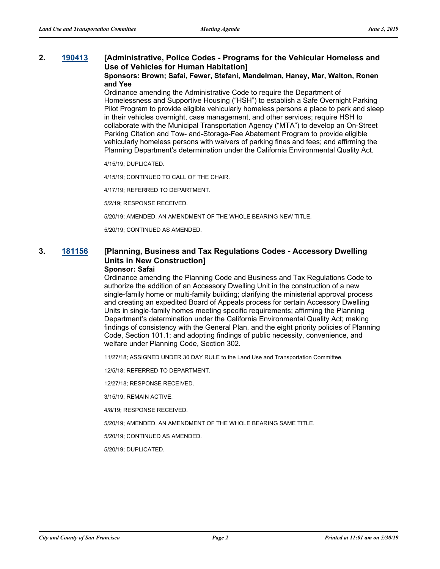## **2. [190413](http://sfgov.legistar.com/gateway.aspx?m=l&id=34534) [Administrative, Police Codes - Programs for the Vehicular Homeless and Use of Vehicles for Human Habitation]**

#### **Sponsors: Brown; Safai, Fewer, Stefani, Mandelman, Haney, Mar, Walton, Ronen and Yee**

Ordinance amending the Administrative Code to require the Department of Homelessness and Supportive Housing ("HSH") to establish a Safe Overnight Parking Pilot Program to provide eligible vehicularly homeless persons a place to park and sleep in their vehicles overnight, case management, and other services; require HSH to collaborate with the Municipal Transportation Agency ("MTA") to develop an On-Street Parking Citation and Tow- and-Storage-Fee Abatement Program to provide eligible vehicularly homeless persons with waivers of parking fines and fees; and affirming the Planning Department's determination under the California Environmental Quality Act.

4/15/19; DUPLICATED.

4/15/19; CONTINUED TO CALL OF THE CHAIR.

4/17/19; REFERRED TO DEPARTMENT.

5/2/19; RESPONSE RECEIVED.

5/20/19; AMENDED, AN AMENDMENT OF THE WHOLE BEARING NEW TITLE.

5/20/19; CONTINUED AS AMENDED.

# **3. [181156](http://sfgov.legistar.com/gateway.aspx?m=l&id=34025) [Planning, Business and Tax Regulations Codes - Accessory Dwelling Units in New Construction]**

#### **Sponsor: Safai**

Ordinance amending the Planning Code and Business and Tax Regulations Code to authorize the addition of an Accessory Dwelling Unit in the construction of a new single-family home or multi-family building; clarifying the ministerial approval process and creating an expedited Board of Appeals process for certain Accessory Dwelling Units in single-family homes meeting specific requirements; affirming the Planning Department's determination under the California Environmental Quality Act; making findings of consistency with the General Plan, and the eight priority policies of Planning Code, Section 101.1; and adopting findings of public necessity, convenience, and welfare under Planning Code, Section 302.

11/27/18; ASSIGNED UNDER 30 DAY RULE to the Land Use and Transportation Committee.

12/5/18; REFERRED TO DEPARTMENT.

12/27/18; RESPONSE RECEIVED.

3/15/19; REMAIN ACTIVE.

4/8/19; RESPONSE RECEIVED.

5/20/19; AMENDED, AN AMENDMENT OF THE WHOLE BEARING SAME TITLE.

5/20/19; CONTINUED AS AMENDED.

5/20/19; DUPLICATED.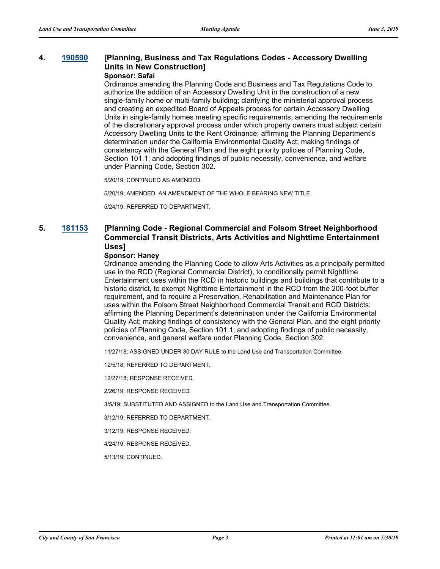# **4. [190590](http://sfgov.legistar.com/gateway.aspx?m=l&id=34712) [Planning, Business and Tax Regulations Codes - Accessory Dwelling Units in New Construction]**

#### **Sponsor: Safai**

Ordinance amending the Planning Code and Business and Tax Regulations Code to authorize the addition of an Accessory Dwelling Unit in the construction of a new single-family home or multi-family building; clarifying the ministerial approval process and creating an expedited Board of Appeals process for certain Accessory Dwelling Units in single-family homes meeting specific requirements; amending the requirements of the discretionary approval process under which property owners must subject certain Accessory Dwelling Units to the Rent Ordinance; affirming the Planning Department's determination under the California Environmental Quality Act; making findings of consistency with the General Plan and the eight priority policies of Planning Code, Section 101.1; and adopting findings of public necessity, convenience, and welfare under Planning Code, Section 302.

5/20/19; CONTINUED AS AMENDED.

5/20/19; AMENDED, AN AMENDMENT OF THE WHOLE BEARING NEW TITLE.

5/24/19; REFERRED TO DEPARTMENT.

### **5. [181153](http://sfgov.legistar.com/gateway.aspx?m=l&id=34022) [Planning Code - Regional Commercial and Folsom Street Neighborhood Commercial Transit Districts, Arts Activities and Nighttime Entertainment Uses]**

### **Sponsor: Haney**

Ordinance amending the Planning Code to allow Arts Activities as a principally permitted use in the RCD (Regional Commercial District), to conditionally permit Nighttime Entertainment uses within the RCD in historic buildings and buildings that contribute to a historic district, to exempt Nighttime Entertainment in the RCD from the 200-foot buffer requirement, and to require a Preservation, Rehabilitation and Maintenance Plan for uses within the Folsom Street Neighborhood Commercial Transit and RCD Districts; affirming the Planning Department's determination under the California Environmental Quality Act; making findings of consistency with the General Plan, and the eight priority policies of Planning Code, Section 101.1; and adopting findings of public necessity, convenience, and general welfare under Planning Code, Section 302.

11/27/18; ASSIGNED UNDER 30 DAY RULE to the Land Use and Transportation Committee.

12/5/18; REFERRED TO DEPARTMENT.

12/27/18; RESPONSE RECEIVED.

2/26/19; RESPONSE RECEIVED.

3/5/19; SUBSTITUTED AND ASSIGNED to the Land Use and Transportation Committee.

3/12/19; REFERRED TO DEPARTMENT.

3/12/19; RESPONSE RECEIVED.

4/24/19; RESPONSE RECEIVED.

5/13/19; CONTINUED.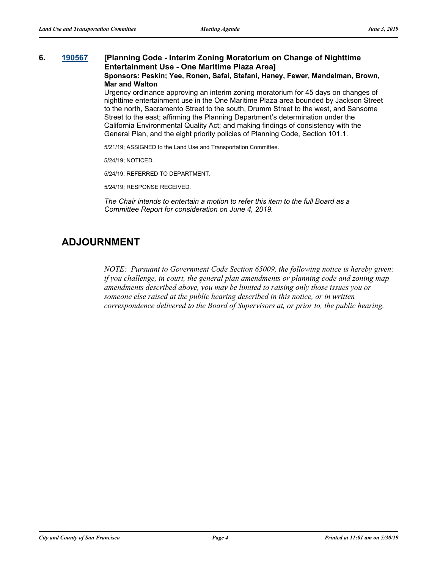#### **6. [190567](http://sfgov.legistar.com/gateway.aspx?m=l&id=34689) [Planning Code - Interim Zoning Moratorium on Change of Nighttime Entertainment Use - One Maritime Plaza Area] Sponsors: Peskin; Yee, Ronen, Safai, Stefani, Haney, Fewer, Mandelman, Brown, Mar and Walton**

Urgency ordinance approving an interim zoning moratorium for 45 days on changes of nighttime entertainment use in the One Maritime Plaza area bounded by Jackson Street to the north, Sacramento Street to the south, Drumm Street to the west, and Sansome Street to the east; affirming the Planning Department's determination under the California Environmental Quality Act; and making findings of consistency with the General Plan, and the eight priority policies of Planning Code, Section 101.1.

5/21/19; ASSIGNED to the Land Use and Transportation Committee.

5/24/19; NOTICED.

5/24/19; REFERRED TO DEPARTMENT.

5/24/19; RESPONSE RECEIVED.

*The Chair intends to entertain a motion to refer this item to the full Board as a Committee Report for consideration on June 4, 2019.*

# **ADJOURNMENT**

*NOTE: Pursuant to Government Code Section 65009, the following notice is hereby given: if you challenge, in court, the general plan amendments or planning code and zoning map amendments described above, you may be limited to raising only those issues you or someone else raised at the public hearing described in this notice, or in written correspondence delivered to the Board of Supervisors at, or prior to, the public hearing.*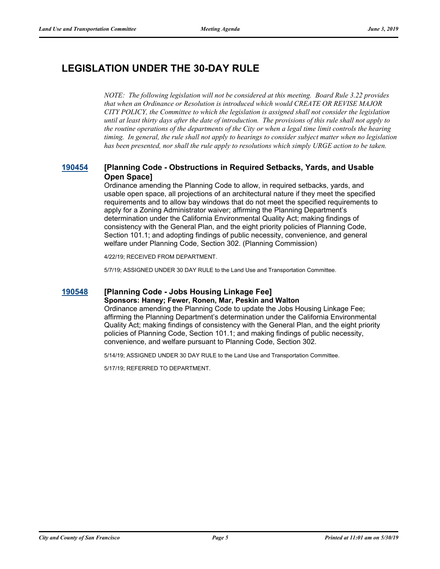# **LEGISLATION UNDER THE 30-DAY RULE**

*NOTE: The following legislation will not be considered at this meeting. Board Rule 3.22 provides that when an Ordinance or Resolution is introduced which would CREATE OR REVISE MAJOR CITY POLICY, the Committee to which the legislation is assigned shall not consider the legislation until at least thirty days after the date of introduction. The provisions of this rule shall not apply to the routine operations of the departments of the City or when a legal time limit controls the hearing timing. In general, the rule shall not apply to hearings to consider subject matter when no legislation has been presented, nor shall the rule apply to resolutions which simply URGE action to be taken.*

### **[190454](http://sfgov.legistar.com/gateway.aspx?m=l&id=34575) [Planning Code - Obstructions in Required Setbacks, Yards, and Usable Open Space]**

Ordinance amending the Planning Code to allow, in required setbacks, yards, and usable open space, all projections of an architectural nature if they meet the specified requirements and to allow bay windows that do not meet the specified requirements to apply for a Zoning Administrator waiver; affirming the Planning Department's determination under the California Environmental Quality Act; making findings of consistency with the General Plan, and the eight priority policies of Planning Code, Section 101.1; and adopting findings of public necessity, convenience, and general welfare under Planning Code, Section 302. (Planning Commission)

4/22/19; RECEIVED FROM DEPARTMENT.

5/7/19; ASSIGNED UNDER 30 DAY RULE to the Land Use and Transportation Committee.

### **[190548](http://sfgov.legistar.com/gateway.aspx?m=l&id=34670) [Planning Code - Jobs Housing Linkage Fee]**

#### **Sponsors: Haney; Fewer, Ronen, Mar, Peskin and Walton**

Ordinance amending the Planning Code to update the Jobs Housing Linkage Fee; affirming the Planning Department's determination under the California Environmental Quality Act; making findings of consistency with the General Plan, and the eight priority policies of Planning Code, Section 101.1; and making findings of public necessity, convenience, and welfare pursuant to Planning Code, Section 302.

5/14/19; ASSIGNED UNDER 30 DAY RULE to the Land Use and Transportation Committee.

5/17/19; REFERRED TO DEPARTMENT.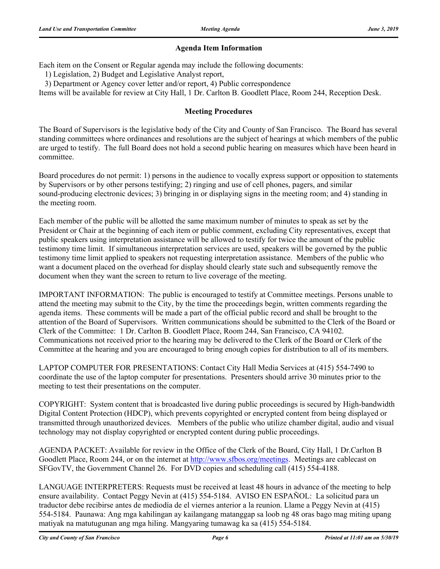### **Agenda Item Information**

Each item on the Consent or Regular agenda may include the following documents:

1) Legislation, 2) Budget and Legislative Analyst report,

3) Department or Agency cover letter and/or report, 4) Public correspondence

Items will be available for review at City Hall, 1 Dr. Carlton B. Goodlett Place, Room 244, Reception Desk.

### **Meeting Procedures**

The Board of Supervisors is the legislative body of the City and County of San Francisco. The Board has several standing committees where ordinances and resolutions are the subject of hearings at which members of the public are urged to testify. The full Board does not hold a second public hearing on measures which have been heard in committee.

Board procedures do not permit: 1) persons in the audience to vocally express support or opposition to statements by Supervisors or by other persons testifying; 2) ringing and use of cell phones, pagers, and similar sound-producing electronic devices; 3) bringing in or displaying signs in the meeting room; and 4) standing in the meeting room.

Each member of the public will be allotted the same maximum number of minutes to speak as set by the President or Chair at the beginning of each item or public comment, excluding City representatives, except that public speakers using interpretation assistance will be allowed to testify for twice the amount of the public testimony time limit. If simultaneous interpretation services are used, speakers will be governed by the public testimony time limit applied to speakers not requesting interpretation assistance. Members of the public who want a document placed on the overhead for display should clearly state such and subsequently remove the document when they want the screen to return to live coverage of the meeting.

IMPORTANT INFORMATION: The public is encouraged to testify at Committee meetings. Persons unable to attend the meeting may submit to the City, by the time the proceedings begin, written comments regarding the agenda items. These comments will be made a part of the official public record and shall be brought to the attention of the Board of Supervisors. Written communications should be submitted to the Clerk of the Board or Clerk of the Committee: 1 Dr. Carlton B. Goodlett Place, Room 244, San Francisco, CA 94102. Communications not received prior to the hearing may be delivered to the Clerk of the Board or Clerk of the Committee at the hearing and you are encouraged to bring enough copies for distribution to all of its members.

LAPTOP COMPUTER FOR PRESENTATIONS: Contact City Hall Media Services at (415) 554-7490 to coordinate the use of the laptop computer for presentations. Presenters should arrive 30 minutes prior to the meeting to test their presentations on the computer.

COPYRIGHT: System content that is broadcasted live during public proceedings is secured by High-bandwidth Digital Content Protection (HDCP), which prevents copyrighted or encrypted content from being displayed or transmitted through unauthorized devices. Members of the public who utilize chamber digital, audio and visual technology may not display copyrighted or encrypted content during public proceedings.

AGENDA PACKET: Available for review in the Office of the Clerk of the Board, City Hall, 1 Dr.Carlton B Goodlett Place, Room 244, or on the internet at http://www.sfbos.org/meetings. Meetings are cablecast on SFGovTV, the Government Channel 26. For DVD copies and scheduling call (415) 554-4188.

LANGUAGE INTERPRETERS: Requests must be received at least 48 hours in advance of the meeting to help ensure availability. Contact Peggy Nevin at (415) 554-5184. AVISO EN ESPAÑOL: La solicitud para un traductor debe recibirse antes de mediodía de el viernes anterior a la reunion. Llame a Peggy Nevin at (415) 554-5184. Paunawa: Ang mga kahilingan ay kailangang matanggap sa loob ng 48 oras bago mag miting upang matiyak na matutugunan ang mga hiling. Mangyaring tumawag ka sa (415) 554-5184.